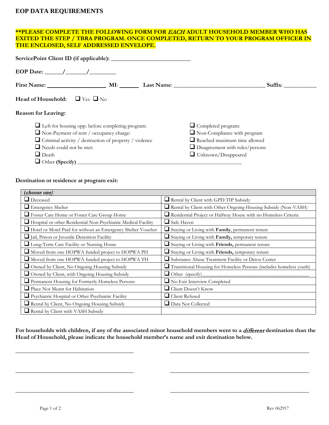## **EOP DATA REQUIREMENTS**

## **\*\*PLEASE COMPLETE THE FOLLOWING FORM FOR** EACH **ADULT HOUSEHOLD MEMBER WHO HAS EXITED THE STEP / TBRA PROGRAM. ONCE COMPLETED, RETURN TO YOUR PROGRAM OFFICER IN THE ENCLOSED, SELF ADDRESSED ENVELOPE.**

| EOP Date: $\angle$                                            |                                        |  |
|---------------------------------------------------------------|----------------------------------------|--|
|                                                               | Suffix:                                |  |
| Head of Household: $\Box$ Yes $\Box$ No                       |                                        |  |
| <b>Reason for Leaving:</b>                                    |                                        |  |
| $\Box$ Left for housing opp. before completing program:       | $\Box$ Completed program:              |  |
| Non-Payment of rent / occupancy charge:                       | $\Box$ Non-Compliance with program     |  |
| $\Box$ Criminal activity / destruction of property / violence | $\Box$ Reached maximum time allowed    |  |
| $\Box$ Needs could not be met:                                | $\Box$ Disagreement with rules/persons |  |
| $\Box$ Death                                                  | $\Box$ Unknown/Disappeared             |  |
|                                                               |                                        |  |

## **Destination or residence at program exit:**

| (choose one)                                                   |                                                                     |  |
|----------------------------------------------------------------|---------------------------------------------------------------------|--|
| $\Box$ Deceased                                                | Rental by Client with GPD TIP Subsidy                               |  |
| <b>Emergency Shelter</b>                                       | Rental by Client with Other Ongoing Housing Subsidy (Non-VASH)      |  |
| Foster Care Home or Foster Care Group Home                     | Residential Project or Halfway House with no Homeless Criteria      |  |
| Hospital or other Residential Non-Psychiatric Medical Facility | $\Box$ Safe Haven                                                   |  |
| Hotel or Motel Paid for without an Emergency Shelter Voucher   | Staying or Living with Family, permanent tenure                     |  |
| Jail, Prison or Juvenile Detention Facility                    | Staying or Living with Family, temporary tenure                     |  |
| Long-Term Care Facility or Nursing Home                        | Staying or Living with Friends, permanent tenure                    |  |
| Moved from one HOPWA funded project to HOPWA PH                | Staying or Living with Friends, temporary tenure                    |  |
| Moved from one HOPWA funded project to HOPWA TH                | Substance Abuse Treatment Facility or Detox Center                  |  |
| Owned by Client, No Ongoing Housing Subsidy                    | Transitional Housing for Homeless Persons (includes homeless youth) |  |
| Owned by Client, with Ongoing Housing Subsidy                  | $\Box$ Other (specify)                                              |  |
| Permanent Housing for Formerly Homeless Persons                | $\Box$ No Exit Interview Completed                                  |  |
| ■ Place Not Meant for Habitation                               | $\Box$ Client Doesn't Know                                          |  |
| Psychiatric Hospital or Other Psychiatric Facility             | $\Box$ Client Refused                                               |  |
| Rental by Client, No Ongoing Housing Subsidy                   | $\Box$ Data Not Collected                                           |  |
| Rental by Client with VASH Subsidy                             |                                                                     |  |

For households with children, if any of the associated minor household members went to a *different* destination than the **Head of Household, please indicate the household member's name and exit destination below.**

**\_\_\_\_\_\_\_\_\_\_\_\_\_\_\_\_\_\_\_\_\_\_\_\_\_\_\_\_\_\_\_\_\_\_\_\_\_\_\_\_ \_\_\_\_\_\_\_\_\_\_\_\_\_\_\_\_\_\_\_\_\_\_\_\_\_\_\_\_\_\_\_\_\_\_\_\_\_\_\_\_\_\_\_\_\_\_\_**

**\_\_\_\_\_\_\_\_\_\_\_\_\_\_\_\_\_\_\_\_\_\_\_\_\_\_\_\_\_\_\_\_\_\_\_\_\_\_\_\_ \_\_\_\_\_\_\_\_\_\_\_\_\_\_\_\_\_\_\_\_\_\_\_\_\_\_\_\_\_\_\_\_\_\_\_\_\_\_\_\_\_\_\_\_\_\_\_**

**\_\_\_\_\_\_\_\_\_\_\_\_\_\_\_\_\_\_\_\_\_\_\_\_\_\_\_\_\_\_\_\_\_\_\_\_\_\_\_\_ \_\_\_\_\_\_\_\_\_\_\_\_\_\_\_\_\_\_\_\_\_\_\_\_\_\_\_\_\_\_\_\_\_\_\_\_\_\_\_\_\_\_\_\_\_\_\_**